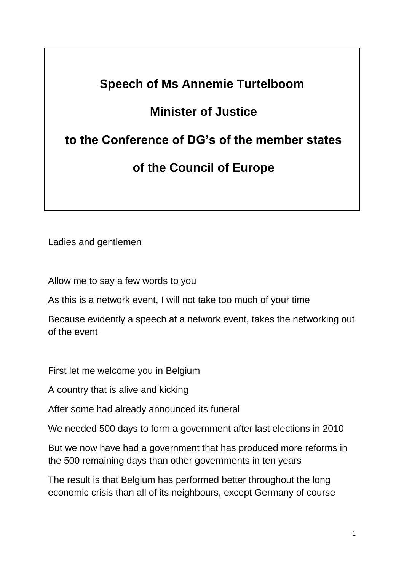## **Speech of Ms Annemie Turtelboom Minister of Justice to the Conference of DG's of the member states of the Council of Europe**

Ladies and gentlemen

Allow me to say a few words to you

As this is a network event, I will not take too much of your time

Because evidently a speech at a network event, takes the networking out of the event

First let me welcome you in Belgium

A country that is alive and kicking

After some had already announced its funeral

We needed 500 days to form a government after last elections in 2010

But we now have had a government that has produced more reforms in the 500 remaining days than other governments in ten years

The result is that Belgium has performed better throughout the long economic crisis than all of its neighbours, except Germany of course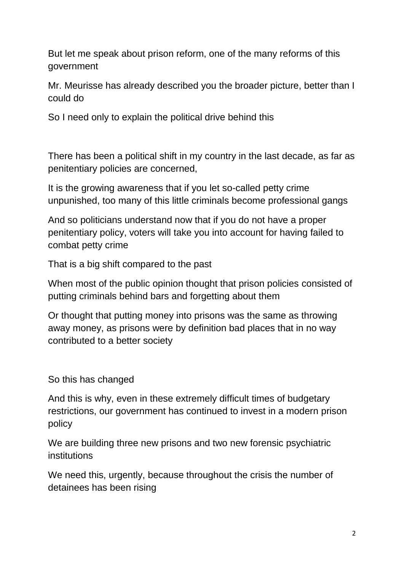But let me speak about prison reform, one of the many reforms of this government

Mr. Meurisse has already described you the broader picture, better than I could do

So I need only to explain the political drive behind this

There has been a political shift in my country in the last decade, as far as penitentiary policies are concerned,

It is the growing awareness that if you let so-called petty crime unpunished, too many of this little criminals become professional gangs

And so politicians understand now that if you do not have a proper penitentiary policy, voters will take you into account for having failed to combat petty crime

That is a big shift compared to the past

When most of the public opinion thought that prison policies consisted of putting criminals behind bars and forgetting about them

Or thought that putting money into prisons was the same as throwing away money, as prisons were by definition bad places that in no way contributed to a better society

So this has changed

And this is why, even in these extremely difficult times of budgetary restrictions, our government has continued to invest in a modern prison policy

We are building three new prisons and two new forensic psychiatric institutions

We need this, urgently, because throughout the crisis the number of detainees has been rising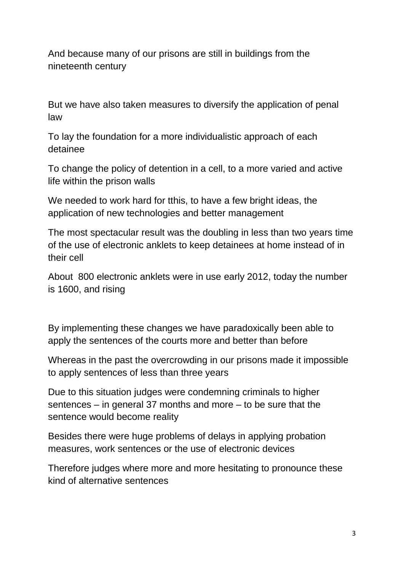And because many of our prisons are still in buildings from the nineteenth century

But we have also taken measures to diversify the application of penal law

To lay the foundation for a more individualistic approach of each detainee

To change the policy of detention in a cell, to a more varied and active life within the prison walls

We needed to work hard for tthis, to have a few bright ideas, the application of new technologies and better management

The most spectacular result was the doubling in less than two years time of the use of electronic anklets to keep detainees at home instead of in their cell

About 800 electronic anklets were in use early 2012, today the number is 1600, and rising

By implementing these changes we have paradoxically been able to apply the sentences of the courts more and better than before

Whereas in the past the overcrowding in our prisons made it impossible to apply sentences of less than three years

Due to this situation judges were condemning criminals to higher sentences – in general 37 months and more – to be sure that the sentence would become reality

Besides there were huge problems of delays in applying probation measures, work sentences or the use of electronic devices

Therefore judges where more and more hesitating to pronounce these kind of alternative sentences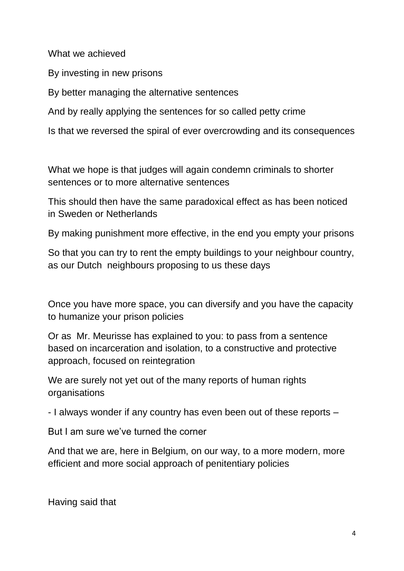What we achieved

By investing in new prisons

By better managing the alternative sentences

And by really applying the sentences for so called petty crime

Is that we reversed the spiral of ever overcrowding and its consequences

What we hope is that judges will again condemn criminals to shorter sentences or to more alternative sentences

This should then have the same paradoxical effect as has been noticed in Sweden or Netherlands

By making punishment more effective, in the end you empty your prisons

So that you can try to rent the empty buildings to your neighbour country, as our Dutch neighbours proposing to us these days

Once you have more space, you can diversify and you have the capacity to humanize your prison policies

Or as Mr. Meurisse has explained to you: to pass from a sentence based on incarceration and isolation, to a constructive and protective approach, focused on reintegration

We are surely not yet out of the many reports of human rights organisations

- I always wonder if any country has even been out of these reports –

But I am sure we've turned the corner

And that we are, here in Belgium, on our way, to a more modern, more efficient and more social approach of penitentiary policies

Having said that